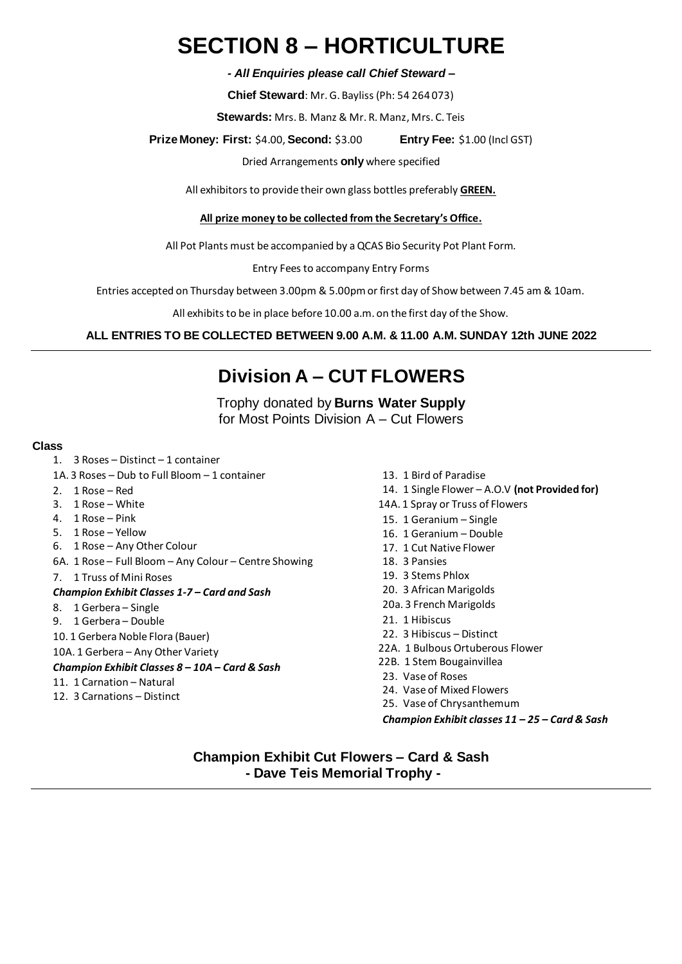# **SECTION 8 – HORTICULTURE**

*- All Enquiries please call Chief Steward –*

**Chief Steward**: Mr. G. Bayliss (Ph: 54 264 073)

**Stewards:** Mrs. B. Manz & Mr. R. Manz, Mrs. C. Teis

**Prize Money: First:** \$4.00, **Second:** \$3.00 **Entry Fee:** \$1.00 (Incl GST)

Dried Arrangements **only** where specified

All exhibitors to provide their own glass bottles preferably **GREEN.**

### **All prize money to be collected from the Secretary's Office.**

All Pot Plants must be accompanied by a QCAS Bio Security Pot Plant Form.

Entry Fees to accompany Entry Forms

Entries accepted on Thursday between 3.00pm & 5.00pm or first day of Show between 7.45 am & 10am.

All exhibits to be in place before 10.00 a.m. on the first day of the Show.

### **ALL ENTRIES TO BE COLLECTED BETWEEN 9.00 A.M. & 11.00 A.M. SUNDAY 12th JUNE 2022**

## **Division A – CUT FLOWERS**

Trophy donated by **Burns Water Supply** for Most Points Division A – Cut Flowers

#### **Class**

- 1. 3 Roses Distinct 1 container
- 1A. 3 Roses Dub to Full Bloom 1 container
- 2. 1 Rose Red
- 3. 1 Rose White
- 4. 1 Rose Pink
- 5. 1 Rose Yellow
- 6. 1 Rose Any Other Colour
- 6A. 1 Rose Full Bloom Any Colour Centre Showing
- 7. 1 Truss of Mini Roses

### *Champion Exhibit Classes 1-7 – Card and Sash*

- 8. 1 Gerbera Single
- 9. 1 Gerbera Double
- 10. 1 Gerbera Noble Flora (Bauer)
- 10A. 1 Gerbera Any Other Variety

### *Champion Exhibit Classes 8 – 10A – Card & Sash*

- 11. 1 Carnation Natural
- 12. 3 Carnations Distinct
- 13. 1 Bird of Paradise
- 14. 1 Single Flower A.O.V **(not Provided for)**
- 14A. 1 Spray or Truss of Flowers
- 15. 1 Geranium Single
- 16. 1 Geranium Double
- 17. 1 Cut Native Flower
- 18. 3 Pansies
- 19. 3 Stems Phlox
- 20. 3 African Marigolds
- 20a. 3 French Marigolds
- 21. 1 Hibiscus
- 22. 3 Hibiscus Distinct
- 22A. 1 Bulbous Ortuberous Flower
- 22B. 1 Stem Bougainvillea
- 23. Vase of Roses
- 24. Vase of Mixed Flowers
- 25. Vase of Chrysanthemum

*Champion Exhibit classes 11 – 25 – Card & Sash*

**Champion Exhibit Cut Flowers – Card & Sash - Dave Teis Memorial Trophy -**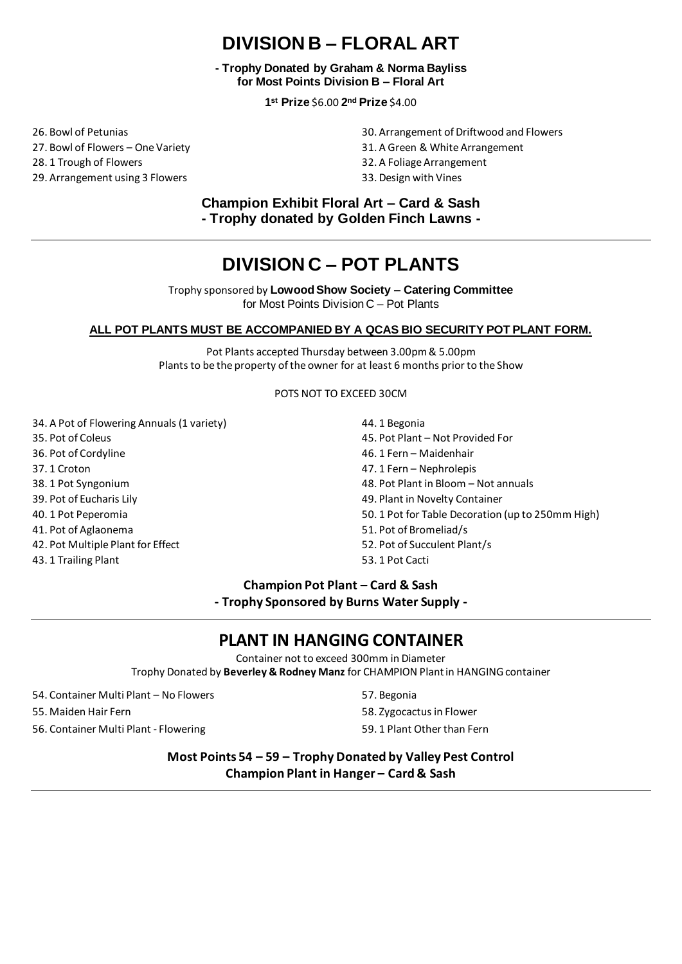## **DIVISION B – FLORAL ART**

**- Trophy Donated by Graham & Norma Bayliss for Most Points Division B – Floral Art**

**1 st Prize** \$6.00 **2 nd Prize** \$4.00

26. Bowl of Petunias 27. Bowl of Flowers – One Variety 28. 1 Trough of Flowers 29. Arrangement using 3 Flowers

- 30. Arrangement of Driftwood and Flowers
- 31. A Green & White Arrangement
- 32. A Foliage Arrangement
- 33. Design with Vines

**Champion Exhibit Floral Art – Card & Sash - Trophy donated by Golden Finch Lawns -**

## **DIVISION C – POT PLANTS**

Trophy sponsored by **Lowood Show Society – Catering Committee**  for Most Points Division C – Pot Plants

### **ALL POT PLANTS MUST BE ACCOMPANIED BY A QCAS BIO SECURITY POT PLANT FORM.**

Pot Plants accepted Thursday between 3.00pm & 5.00pm Plants to be the property of the owner for at least 6 months prior to the Show

POTS NOT TO EXCEED 30CM

- 34. A Pot of Flowering Annuals (1 variety)
- 35. Pot of Coleus
- 36. Pot of Cordyline
- 37. 1 Croton
- 38. 1 Pot Syngonium
- 39. Pot of Eucharis Lily
- 40. 1 Pot Peperomia
- 41. Pot of Aglaonema
- 42. Pot Multiple Plant for Effect
- 43. 1 Trailing Plant
- 44. 1 Begonia
- 45. Pot Plant Not Provided For
- 46. 1 Fern Maidenhair
- 47. 1 Fern Nephrolepis
- 48. Pot Plant in Bloom Not annuals
- 49. Plant in Novelty Container
- 50. 1 Pot for Table Decoration (up to 250mm High)
- 51. Pot of Bromeliad/s
- 52. Pot of Succulent Plant/s
- 53. 1 Pot Cacti

### **Champion Pot Plant – Card & Sash**

**- Trophy Sponsored by Burns Water Supply -**

### **PLANT IN HANGING CONTAINER**

Container not to exceed 300mm in Diameter

Trophy Donated by **Beverley & Rodney Manz** for CHAMPION Plant in HANGING container

- 54. Container Multi Plant No Flowers
- 55. Maiden Hair Fern
- 56. Container Multi Plant Flowering
- 57. Begonia
- 58. Zygocactus in Flower
- 59. 1 Plant Other than Fern

**Most Points 54 – 59 – Trophy Donated by Valley Pest Control Champion Plant in Hanger – Card & Sash**